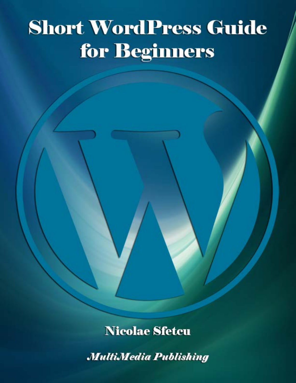# **Short WordPress Guide** for Beginners

### **Nicolae Sfetcu**

**MultiMedia Publishing**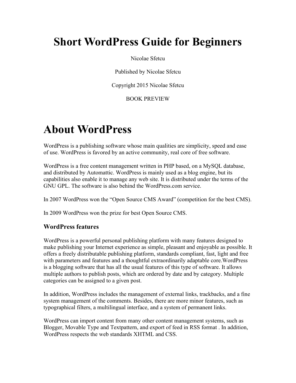### **Short WordPress Guide for Beginners**

#### Nicolae Sfetcu

Published by Nicolae Sfetcu

Copyright 2015 Nicolae Sfetcu

BOOK PREVIEW

### **About WordPress**

WordPress is a publishing software whose main qualities are simplicity, speed and ease of use. WordPress is favored by an active community, real core of free software.

WordPress is a free content management written in PHP based, on a MySQL database, and distributed by Automattic. WordPress is mainly used as a blog engine, but its capabilities also enable it to manage any web site. It is distributed under the terms of the GNU GPL. The software is also behind the WordPress.com service.

In 2007 WordPress won the "Open Source CMS Award" (competition for the best CMS).

In 2009 WordPress won the prize for best Open Source CMS.

#### **WordPress features**

WordPress is a powerful personal publishing platform with many features designed to make publishing your Internet experience as simple, pleasant and enjoyable as possible. It offers a freely distributable publishing platform, standards compliant, fast, light and free with parameters and features and a thoughtful extraordinarily adaptable core.WordPress is a blogging software that has all the usual features of this type of software. It allows multiple authors to publish posts, which are ordered by date and by category. Multiple categories can be assigned to a given post.

In addition, WordPress includes the management of external links, trackbacks, and a fine system management of the comments. Besides, there are more minor features, such as typographical filters, a multilingual interface, and a system of permanent links.

WordPress can import content from many other content management systems, such as Blogger, Movable Type and Textpattern, and export of feed in RSS format . In addition, WordPress respects the web standards XHTML and CSS.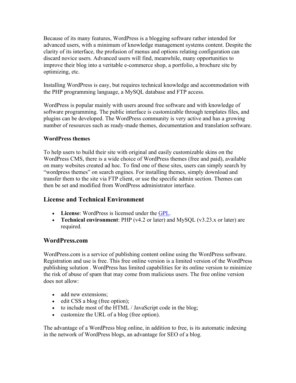Because of its many features, WordPress is a blogging software rather intended for advanced users, with a minimum of knowledge management systems content. Despite the clarity of its interface, the profusion of menus and options relating configuration can discard novice users. Advanced users will find, meanwhile, many opportunities to improve their blog into a veritable e-commerce shop, a portfolio, a brochure site by optimizing, etc.

Installing WordPress is easy, but requires technical knowledge and accommodation with the PHP programming language, a MySQL database and FTP access.

WordPress is popular mainly with users around free software and with knowledge of software programming. The public interface is customizable through templates files, and plugins can be developed. The WordPress community is very active and has a growing number of resources such as ready-made themes, documentation and translation software.

#### **WordPress themes**

To help users to build their site with original and easily customizable skins on the WordPress CMS, there is a wide choice of WordPress themes (free and paid), available on many websites created ad hoc. To find one of these sites, users can simply search by "wordpress themes" on search engines. For installing themes, simply download and transfer them to the site via FTP client, or use the specific admin section. Themes can then be set and modified from WordPress administrator interface.

#### **License and Technical Environment**

- **License**: WordPress is licensed under the [GPL.](http://www.gnu.org/copyleft/gpl.html)
- **Technical environment**: PHP (v4.2 or later) and MySQL (v3.23.x or later) are required.

#### **WordPress.com**

WordPress.com is a service of publishing content online using the WordPress software. Registration and use is free. This free online version is a limited version of the WordPress publishing solution . WordPress has limited capabilities for its online version to minimize the risk of abuse of spam that may come from malicious users. The free online version does not allow:

- add new extensions;
- edit CSS a blog (free option);
- to include most of the HTML / JavaScript code in the blog;
- customize the URL of a blog (free option).

The advantage of a WordPress blog online, in addition to free, is its automatic indexing in the network of WordPress blogs, an advantage for SEO of a blog.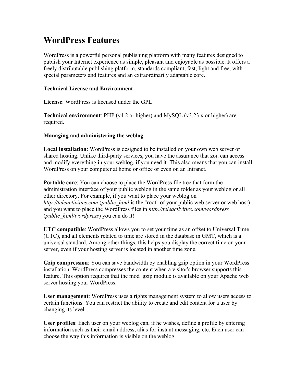### **WordPress Features**

WordPress is a powerful personal publishing platform with many features designed to publish your Internet experience as simple, pleasant and enjoyable as possible. It offers a freely distributable publishing platform, standards compliant, fast, light and free, with special parameters and features and an extraordinarily adaptable core.

#### **Technical License and Environment**

**License**: WordPress is licensed under the GPL

**Technical environment**: PHP (v4.2 or higher) and MySQL (v3.23.x or higher) are required.

#### **Managing and administering the weblog**

**Local installation**: WordPress is designed to be installed on your own web server or shared hosting. Unlike third-party services, you have the assurance that zou can access and modify everything in your weblog, if you need it. This also means that you can install WordPress on your computer at home or office or even on an Intranet.

**Portable core**: You can choose to place the WordPress file tree that form the administration interface of your public weblog in the same folder as your weblog or all other directory. For example, if you want to place your weblog on *http://teleactivities.com* (*public\_html* is the "root" of your public web server or web host) and you want to place the WordPress files in *http://teleactivities.com/wordpress* (*public\_html/wordpress*) you can do it!

**UTC compatible**: WordPress allows you to set your time as an offset to Universal Time (UTC), and all elements related to time are stored in the database in GMT, which is a universal standard. Among other things, this helps you display the correct time on your server, even if your hosting server is located in another time zone.

**Gzip compression**: You can save bandwidth by enabling gzip option in your WordPress installation. WordPress compresses the content when a visitor's browser supports this feature. This option requires that the mod\_gzip module is available on your Apache web server hosting your WordPress.

**User management**: WordPress uses a rights management system to allow users access to certain functions. You can restrict the ability to create and edit content for a user by changing its level.

**User profiles**: Each user on your weblog can, if he wishes, define a profile by entering information such as their email address, alias for instant messaging, etc. Each user can choose the way this information is visible on the weblog.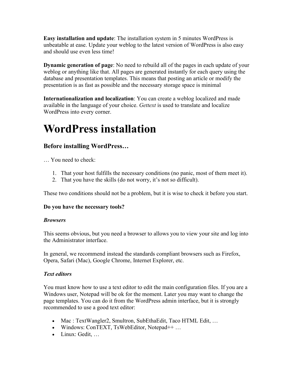**Easy installation and update**: The installation system in 5 minutes WordPress is unbeatable at ease. Update your weblog to the latest version of WordPress is also easy and should use even less time!

**Dynamic generation of page**: No need to rebuild all of the pages in each update of your weblog or anything like that. All pages are generated instantly for each query using the database and presentation templates. This means that posting an article or modify the presentation is as fast as possible and the necessary storage space is minimal

**Internationalization and localization**: You can create a weblog localized and made available in the language of your choice. *Gettext* is used to translate and localize WordPress into every corner.

### **WordPress installation**

#### **Before installing WordPress…**

… You need to check:

- 1. That your host fulfills the necessary conditions (no panic, most of them meet it).
- 2. That you have the skills (do not worry, it's not so difficult).

These two conditions should not be a problem, but it is wise to check it before you start.

#### **Do you have the necessary tools?**

#### *Browsers*

This seems obvious, but you need a browser to allows you to view your site and log into the Administrator interface.

In general, we recommend instead the standards compliant browsers such as Firefox, Opera, Safari (Mac), Google Chrome, Internet Explorer, etc.

#### *Text editors*

You must know how to use a text editor to edit the main configuration files. If you are a Windows user, Notepad will be ok for the moment. Later you may want to change the page templates. You can do it from the WordPress admin interface, but it is strongly recommended to use a good text editor:

- Mac : TextWangler2, Smultron, SubEthaEdit, Taco HTML Edit, ...
- Windows: ConTEXT, TsWebEditor, Notepad<sup>++</sup> ...
- Linux: Gedit, …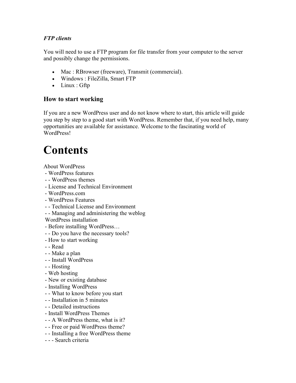#### *FTP clients*

You will need to use a FTP program for file transfer from your computer to the server and possibly change the permissions.

- Mac : RBrowser (freeware), Transmit (commercial).
- Windows : FileZilla, Smart FTP
- Linux : Gftp

#### **How to start working**

If you are a new WordPress user and do not know where to start, this article will guide you step by step to a good start with WordPress. Remember that, if you need help, many opportunities are available for assistance. Welcome to the fascinating world of WordPress!

# **Contents**

About WordPress

- WordPress features
- - WordPress themes
- License and Technical Environment
- WordPress.com
- WordPress Features
- - Technical License and Environment
- - Managing and administering the weblog

WordPress installation

- Before installing WordPress…
- - Do you have the necessary tools?
- How to start working
- - Read
- - Make a plan
- - Install WordPress
- - Hosting
- Web hosting
- New or existing database
- Installing WordPress
- - What to know before you start
- - Installation in 5 minutes
- - Detailed instructions
- Install WordPress Themes
- - A WordPress theme, what is it?
- - Free or paid WordPress theme?
- - Installing a free WordPress theme
- - Search criteria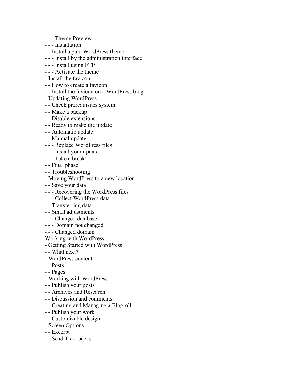- - Theme Preview
- - Installation
- - Install a paid WordPress theme
- - Install by the administration interface
- - Install using FTP
- - Activate the theme
- Install the favicon
- - How to create a favicon
- - Install the favicon on a WordPress blog
- Updating WordPress
- - Check prerequisites system
- - Make a backup
- - Disable extensions
- - Ready to make the update!
- - Automatic update
- - Manual update
- - Replace WordPress files
- - Install your update
- - Take a break!
- - Final phase
- - Troubleshooting
- Moving WordPress to a new location
- - Save your data
- - Recovering the WordPress files
- - Collect WordPress data
- - Transferring data
- - Small adjustments
- - Changed database
- - Domain not changed
- - Changed domain
- Working with WordPress
- Getting Started with WordPress
- - What next?
- WordPress content
- - Posts
- - Pages
- Working with WordPress
- - Publish your posts
- - Archives and Research
- - Discussion and comments
- - Creating and Managing a Blogroll
- - Publish your work
- - Customizable design
- Screen Options
- - Excerpt
- - Send Trackbacks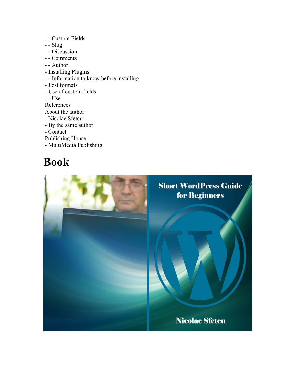- - Custom Fields
- - Slug
- - Discussion
- - Comments
- - Author
- Installing Plugins
- - Information to know before installing
- Post formats

- Use of custom fields

- - Use

References

- About the author
- Nicolae Sfetcu
- By the same author
- Contact

Publishing House

- MultiMedia Publishing

### **Book**

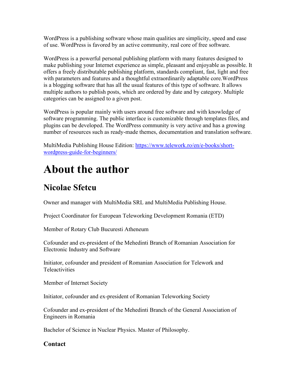WordPress is a publishing software whose main qualities are simplicity, speed and ease of use. WordPress is favored by an active community, real core of free software.

WordPress is a powerful personal publishing platform with many features designed to make publishing your Internet experience as simple, pleasant and enjoyable as possible. It offers a freely distributable publishing platform, standards compliant, fast, light and free with parameters and features and a thoughtful extraordinarily adaptable core.WordPress is a blogging software that has all the usual features of this type of software. It allows multiple authors to publish posts, which are ordered by date and by category. Multiple categories can be assigned to a given post.

WordPress is popular mainly with users around free software and with knowledge of software programming. The public interface is customizable through templates files, and plugins can be developed. The WordPress community is very active and has a growing number of resources such as ready-made themes, documentation and translation software.

MultiMedia Publishing House Edition: [https://www.telework.ro/en/e-books/short](https://www.telework.ro/en/e-books/short-wordpress-guide-for-beginners/)[wordpress-guide-for-beginners/](https://www.telework.ro/en/e-books/short-wordpress-guide-for-beginners/)

## **About the author**

### **Nicolae Sfetcu**

Owner and manager with MultiMedia SRL and MultiMedia Publishing House.

Project Coordinator for European Teleworking Development Romania (ETD)

Member of Rotary Club Bucuresti Atheneum

Cofounder and ex-president of the Mehedinti Branch of Romanian Association for Electronic Industry and Software

Initiator, cofounder and president of Romanian Association for Telework and **Teleactivities** 

Member of Internet Society

Initiator, cofounder and ex-president of Romanian Teleworking Society

Cofounder and ex-president of the Mehedinti Branch of the General Association of Engineers in Romania

Bachelor of Science in Nuclear Physics. Master of Philosophy.

#### **Contact**